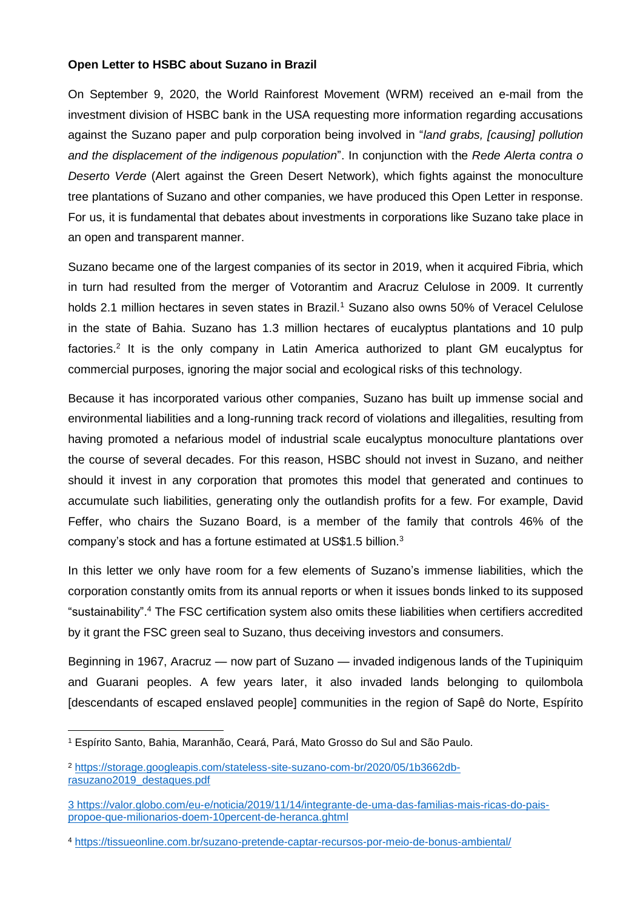## **Open Letter to HSBC about Suzano in Brazil**

On September 9, 2020, the World Rainforest Movement (WRM) received an e-mail from the investment division of HSBC bank in the USA requesting more information regarding accusations against the Suzano paper and pulp corporation being involved in "*land grabs, [causing] pollution and the displacement of the indigenous population*". In conjunction with the *Rede Alerta contra o Deserto Verde* (Alert against the Green Desert Network), which fights against the monoculture tree plantations of Suzano and other companies, we have produced this Open Letter in response. For us, it is fundamental that debates about investments in corporations like Suzano take place in an open and transparent manner.

Suzano became one of the largest companies of its sector in 2019, when it acquired Fibria, which in turn had resulted from the merger of Votorantim and Aracruz Celulose in 2009. It currently holds 2.1 million hectares in seven states in Brazil. <sup>1</sup> Suzano also owns 50% of Veracel Celulose in the state of Bahia. Suzano has 1.3 million hectares of eucalyptus plantations and 10 pulp factories.<sup>2</sup> It is the only company in Latin America authorized to plant GM eucalyptus for commercial purposes, ignoring the major social and ecological risks of this technology.

Because it has incorporated various other companies, Suzano has built up immense social and environmental liabilities and a long-running track record of violations and illegalities, resulting from having promoted a nefarious model of industrial scale eucalyptus monoculture plantations over the course of several decades. For this reason, HSBC should not invest in Suzano, and neither should it invest in any corporation that promotes this model that generated and continues to accumulate such liabilities, generating only the outlandish profits for a few. For example, David Feffer, who chairs the Suzano Board, is a member of the family that controls 46% of the company's stock and has a fortune estimated at US\$1.5 billion.<sup>3</sup>

In this letter we only have room for a few elements of Suzano's immense liabilities, which the corporation constantly omits from its annual reports or when it issues bonds linked to its supposed "sustainability". <sup>4</sup> The FSC certification system also omits these liabilities when certifiers accredited by it grant the FSC green seal to Suzano, thus deceiving investors and consumers.

Beginning in 1967, Aracruz — now part of Suzano — invaded indigenous lands of the Tupiniquim and Guarani peoples. A few years later, it also invaded lands belonging to quilombola [descendants of escaped enslaved people] communities in the region of Sapê do Norte, Espírito

**.** 

<sup>1</sup> Espírito Santo, Bahia, Maranhão, Ceará, Pará, Mato Grosso do Sul and São Paulo.

<sup>2</sup> [https://storage.googleapis.com/stateless-site-suzano-com-br/2020/05/1b3662db](https://storage.googleapis.com/stateless-site-suzano-com-br/2020/05/1b3662db-rasuzano2019_destaques.pdf)[rasuzano2019\\_destaques.pdf](https://storage.googleapis.com/stateless-site-suzano-com-br/2020/05/1b3662db-rasuzano2019_destaques.pdf)

<sup>3</sup> [https://valor.globo.com/eu-e/noticia/2019/11/14/integrante-de-uma-das-familias-mais-ricas-do-pais](https://valor.globo.com/eu-e/noticia/2019/11/14/integrante-de-uma-das-familias-mais-ricas-do-pais-propoe-que-milionarios-doem-10percent-de-heranca.ghtml)[propoe-que-milionarios-doem-10percent-de-heranca.ghtml](https://valor.globo.com/eu-e/noticia/2019/11/14/integrante-de-uma-das-familias-mais-ricas-do-pais-propoe-que-milionarios-doem-10percent-de-heranca.ghtml)

<sup>4</sup> <https://tissueonline.com.br/suzano-pretende-captar-recursos-por-meio-de-bonus-ambiental/>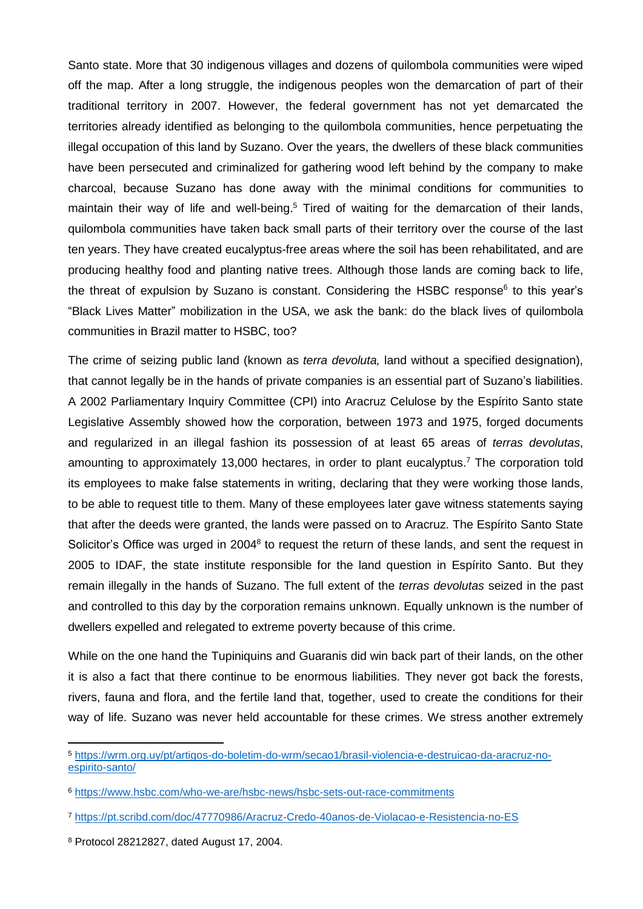Santo state. More that 30 indigenous villages and dozens of quilombola communities were wiped off the map. After a long struggle, the indigenous peoples won the demarcation of part of their traditional territory in 2007. However, the federal government has not yet demarcated the territories already identified as belonging to the quilombola communities, hence perpetuating the illegal occupation of this land by Suzano. Over the years, the dwellers of these black communities have been persecuted and criminalized for gathering wood left behind by the company to make charcoal, because Suzano has done away with the minimal conditions for communities to maintain their way of life and well-being.<sup>5</sup> Tired of waiting for the demarcation of their lands, quilombola communities have taken back small parts of their territory over the course of the last ten years. They have created eucalyptus-free areas where the soil has been rehabilitated, and are producing healthy food and planting native trees. Although those lands are coming back to life, the threat of expulsion by Suzano is constant. Considering the HSBC response<sup>6</sup> to this year's "Black Lives Matter" mobilization in the USA, we ask the bank: do the black lives of quilombola communities in Brazil matter to HSBC, too?

The crime of seizing public land (known as *terra devoluta,* land without a specified designation), that cannot legally be in the hands of private companies is an essential part of Suzano's liabilities. A 2002 Parliamentary Inquiry Committee (CPI) into Aracruz Celulose by the Espírito Santo state Legislative Assembly showed how the corporation, between 1973 and 1975, forged documents and regularized in an illegal fashion its possession of at least 65 areas of *terras devolutas*, amounting to approximately 13,000 hectares, in order to plant eucalyptus. <sup>7</sup> The corporation told its employees to make false statements in writing, declaring that they were working those lands, to be able to request title to them. Many of these employees later gave witness statements saying that after the deeds were granted, the lands were passed on to Aracruz. The Espírito Santo State Solicitor's Office was urged in 2004<sup>8</sup> to request the return of these lands, and sent the request in 2005 to IDAF, the state institute responsible for the land question in Espírito Santo. But they remain illegally in the hands of Suzano. The full extent of the *terras devolutas* seized in the past and controlled to this day by the corporation remains unknown. Equally unknown is the number of dwellers expelled and relegated to extreme poverty because of this crime.

While on the one hand the Tupiniquins and Guaranis did win back part of their lands, on the other it is also a fact that there continue to be enormous liabilities. They never got back the forests, rivers, fauna and flora, and the fertile land that, together, used to create the conditions for their way of life. Suzano was never held accountable for these crimes. We stress another extremely

**.** 

<sup>5</sup> [https://wrm.org.uy/pt/artigos-do-boletim-do-wrm/secao1/brasil-violencia-e-destruicao-da-aracruz-no](https://wrm.org.uy/pt/artigos-do-boletim-do-wrm/secao1/brasil-violencia-e-destruicao-da-aracruz-no-espirito-santo/)[espirito-santo/](https://wrm.org.uy/pt/artigos-do-boletim-do-wrm/secao1/brasil-violencia-e-destruicao-da-aracruz-no-espirito-santo/)

<sup>6</sup> <https://www.hsbc.com/who-we-are/hsbc-news/hsbc-sets-out-race-commitments>

<sup>7</sup> <https://pt.scribd.com/doc/47770986/Aracruz-Credo-40anos-de-Violacao-e-Resistencia-no-ES>

<sup>8</sup> Protocol 28212827, dated August 17, 2004.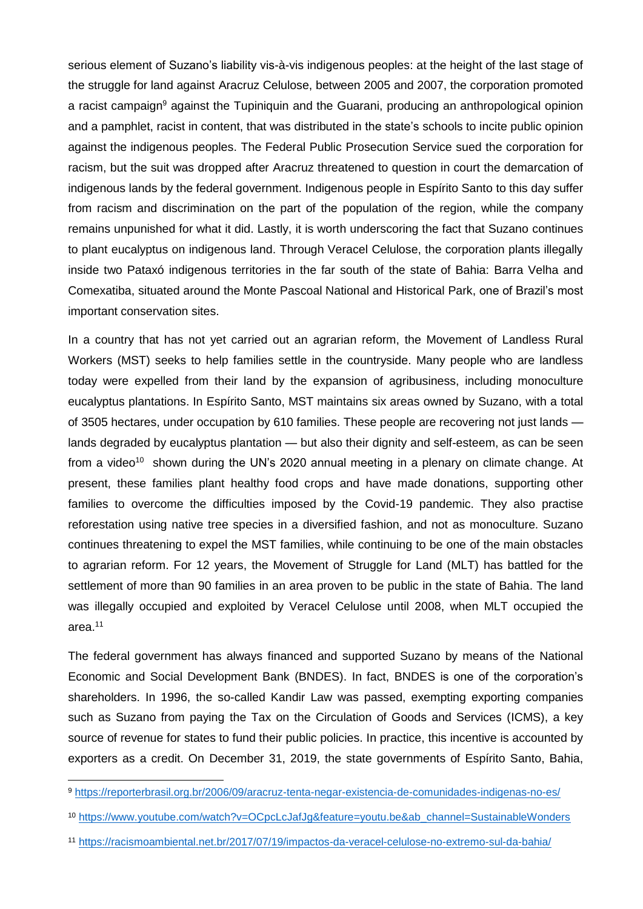serious element of Suzano's liability vis-à-vis indigenous peoples: at the height of the last stage of the struggle for land against Aracruz Celulose, between 2005 and 2007, the corporation promoted a racist campaign<sup>9</sup> against the Tupiniquin and the Guarani, producing an anthropological opinion and a pamphlet, racist in content, that was distributed in the state's schools to incite public opinion against the indigenous peoples. The Federal Public Prosecution Service sued the corporation for racism, but the suit was dropped after Aracruz threatened to question in court the demarcation of indigenous lands by the federal government. Indigenous people in Espírito Santo to this day suffer from racism and discrimination on the part of the population of the region, while the company remains unpunished for what it did. Lastly, it is worth underscoring the fact that Suzano continues to plant eucalyptus on indigenous land. Through Veracel Celulose, the corporation plants illegally inside two Pataxó indigenous territories in the far south of the state of Bahia: Barra Velha and Comexatiba, situated around the Monte Pascoal National and Historical Park, one of Brazil's most important conservation sites.

In a country that has not yet carried out an agrarian reform, the Movement of Landless Rural Workers (MST) seeks to help families settle in the countryside. Many people who are landless today were expelled from their land by the expansion of agribusiness, including monoculture eucalyptus plantations. In Espírito Santo, MST maintains six areas owned by Suzano, with a total of 3505 hectares, under occupation by 610 families. These people are recovering not just lands lands degraded by eucalyptus plantation — but also their dignity and self-esteem, as can be seen from a video<sup>10</sup> shown during the UN's 2020 annual meeting in a plenary on climate change. At present, these families plant healthy food crops and have made donations, supporting other families to overcome the difficulties imposed by the Covid-19 pandemic. They also practise reforestation using native tree species in a diversified fashion, and not as monoculture. Suzano continues threatening to expel the MST families, while continuing to be one of the main obstacles to agrarian reform. For 12 years, the Movement of Struggle for Land (MLT) has battled for the settlement of more than 90 families in an area proven to be public in the state of Bahia. The land was illegally occupied and exploited by Veracel Celulose until 2008, when MLT occupied the area.<sup>11</sup>

The federal government has always financed and supported Suzano by means of the National Economic and Social Development Bank (BNDES). In fact, BNDES is one of the corporation's shareholders. In 1996, the so-called Kandir Law was passed, exempting exporting companies such as Suzano from paying the Tax on the Circulation of Goods and Services (ICMS), a key source of revenue for states to fund their public policies. In practice, this incentive is accounted by exporters as a credit. On December 31, 2019, the state governments of Espírito Santo, Bahia,

**.** 

<sup>9</sup> <https://reporterbrasil.org.br/2006/09/aracruz-tenta-negar-existencia-de-comunidades-indigenas-no-es/>

<sup>10</sup> [https://www.youtube.com/watch?v=OCpcLcJafJg&feature=youtu.be&ab\\_channel=SustainableWonders](https://www.youtube.com/watch?v=OCpcLcJafJg&feature=youtu.be&ab_channel=SustainableWonders)

<sup>11</sup> <https://racismoambiental.net.br/2017/07/19/impactos-da-veracel-celulose-no-extremo-sul-da-bahia/>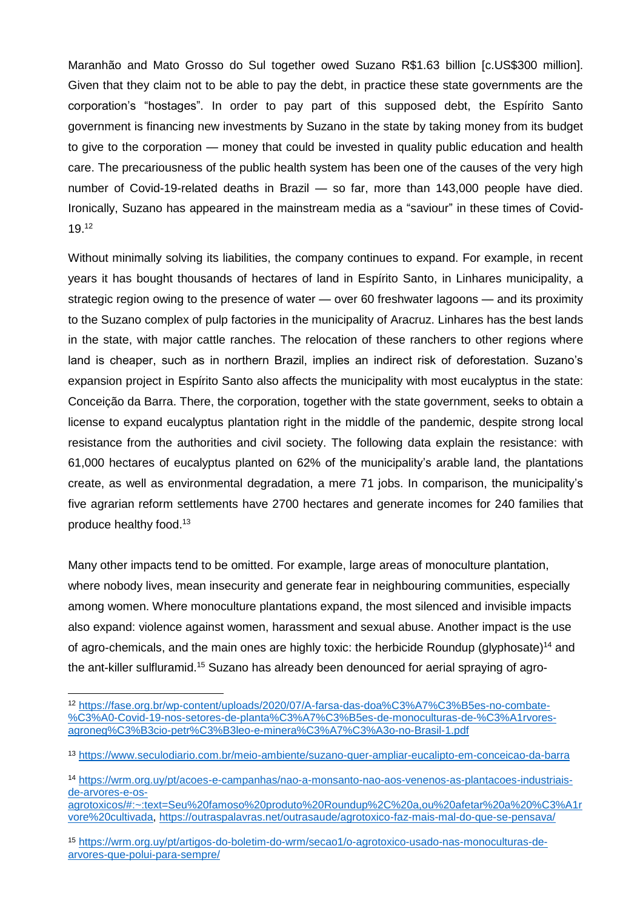Maranhão and Mato Grosso do Sul together owed Suzano R\$1.63 billion [c.US\$300 million]. Given that they claim not to be able to pay the debt, in practice these state governments are the corporation's "hostages". In order to pay part of this supposed debt, the Espírito Santo government is financing new investments by Suzano in the state by taking money from its budget to give to the corporation — money that could be invested in quality public education and health care. The precariousness of the public health system has been one of the causes of the very high number of Covid-19-related deaths in Brazil — so far, more than 143,000 people have died. Ironically, Suzano has appeared in the mainstream media as a "saviour" in these times of Covid-19. 12

Without minimally solving its liabilities, the company continues to expand. For example, in recent years it has bought thousands of hectares of land in Espírito Santo, in Linhares municipality, a strategic region owing to the presence of water — over 60 freshwater lagoons — and its proximity to the Suzano complex of pulp factories in the municipality of Aracruz. Linhares has the best lands in the state, with major cattle ranches. The relocation of these ranchers to other regions where land is cheaper, such as in northern Brazil, implies an indirect risk of deforestation. Suzano's expansion project in Espírito Santo also affects the municipality with most eucalyptus in the state: Conceição da Barra. There, the corporation, together with the state government, seeks to obtain a license to expand eucalyptus plantation right in the middle of the pandemic, despite strong local resistance from the authorities and civil society. The following data explain the resistance: with 61,000 hectares of eucalyptus planted on 62% of the municipality's arable land, the plantations create, as well as environmental degradation, a mere 71 jobs. In comparison, the municipality's five agrarian reform settlements have 2700 hectares and generate incomes for 240 families that produce healthy food.<sup>13</sup>

Many other impacts tend to be omitted. For example, large areas of monoculture plantation, where nobody lives, mean insecurity and generate fear in neighbouring communities, especially among women. Where monoculture plantations expand, the most silenced and invisible impacts also expand: violence against women, harassment and sexual abuse. Another impact is the use of agro-chemicals, and the main ones are highly toxic: the herbicide Roundup (glyphosate)<sup>14</sup> and the ant-killer sulfluramid.<sup>15</sup> Suzano has already been denounced for aerial spraying of agro-

<sup>1</sup> <sup>12</sup> [https://fase.org.br/wp-content/uploads/2020/07/A-farsa-das-doa%C3%A7%C3%B5es-no-combate-](https://fase.org.br/wp-content/uploads/2020/07/A-farsa-das-doa%C3%A7%C3%B5es-no-combate-%C3%A0-Covid-19-nos-setores-de-planta%C3%A7%C3%B5es-de-monoculturas-de-%C3%A1rvores-agroneg%C3%B3cio-petr%C3%B3leo-e-minera%C3%A7%C3%A3o-no-Brasil-1.pdf) [%C3%A0-Covid-19-nos-setores-de-planta%C3%A7%C3%B5es-de-monoculturas-de-%C3%A1rvores](https://fase.org.br/wp-content/uploads/2020/07/A-farsa-das-doa%C3%A7%C3%B5es-no-combate-%C3%A0-Covid-19-nos-setores-de-planta%C3%A7%C3%B5es-de-monoculturas-de-%C3%A1rvores-agroneg%C3%B3cio-petr%C3%B3leo-e-minera%C3%A7%C3%A3o-no-Brasil-1.pdf)[agroneg%C3%B3cio-petr%C3%B3leo-e-minera%C3%A7%C3%A3o-no-Brasil-1.pdf](https://fase.org.br/wp-content/uploads/2020/07/A-farsa-das-doa%C3%A7%C3%B5es-no-combate-%C3%A0-Covid-19-nos-setores-de-planta%C3%A7%C3%B5es-de-monoculturas-de-%C3%A1rvores-agroneg%C3%B3cio-petr%C3%B3leo-e-minera%C3%A7%C3%A3o-no-Brasil-1.pdf)

<sup>13</sup> <https://www.seculodiario.com.br/meio-ambiente/suzano-quer-ampliar-eucalipto-em-conceicao-da-barra>

<sup>14</sup> [https://wrm.org.uy/pt/acoes-e-campanhas/nao-a-monsanto-nao-aos-venenos-as-plantacoes-industriais](https://wrm.org.uy/pt/acoes-e-campanhas/nao-a-monsanto-nao-aos-venenos-as-plantacoes-industriais-de-arvores-e-os-agrotoxicos/#:~:text=Seu%20famoso%20produto%20Roundup%2C%20a,ou%20afetar%20a%20%C3%A1rvore%20cultivada)[de-arvores-e-os-](https://wrm.org.uy/pt/acoes-e-campanhas/nao-a-monsanto-nao-aos-venenos-as-plantacoes-industriais-de-arvores-e-os-agrotoxicos/#:~:text=Seu%20famoso%20produto%20Roundup%2C%20a,ou%20afetar%20a%20%C3%A1rvore%20cultivada)

[agrotoxicos/#:~:text=Seu%20famoso%20produto%20Roundup%2C%20a,ou%20afetar%20a%20%C3%A1r](https://wrm.org.uy/pt/acoes-e-campanhas/nao-a-monsanto-nao-aos-venenos-as-plantacoes-industriais-de-arvores-e-os-agrotoxicos/#:~:text=Seu%20famoso%20produto%20Roundup%2C%20a,ou%20afetar%20a%20%C3%A1rvore%20cultivada) [vore%20cultivada,](https://wrm.org.uy/pt/acoes-e-campanhas/nao-a-monsanto-nao-aos-venenos-as-plantacoes-industriais-de-arvores-e-os-agrotoxicos/#:~:text=Seu%20famoso%20produto%20Roundup%2C%20a,ou%20afetar%20a%20%C3%A1rvore%20cultivada)<https://outraspalavras.net/outrasaude/agrotoxico-faz-mais-mal-do-que-se-pensava/>

<sup>15</sup> [https://wrm.org.uy/pt/artigos-do-boletim-do-wrm/secao1/o-agrotoxico-usado-nas-monoculturas-de](https://wrm.org.uy/pt/artigos-do-boletim-do-wrm/secao1/o-agrotoxico-usado-nas-monoculturas-de-arvores-que-polui-para-sempre/)[arvores-que-polui-para-sempre/](https://wrm.org.uy/pt/artigos-do-boletim-do-wrm/secao1/o-agrotoxico-usado-nas-monoculturas-de-arvores-que-polui-para-sempre/)